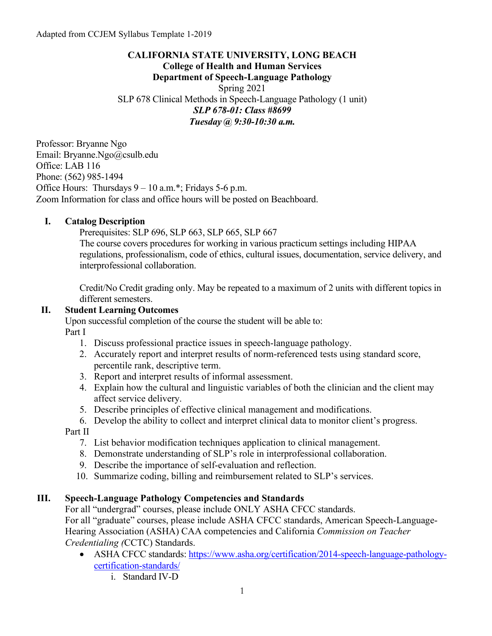## **CALIFORNIA STATE UNIVERSITY, LONG BEACH College of Health and Human Services Department of Speech-Language Pathology** Spring 2021 SLP 678 Clinical Methods in Speech-Language Pathology (1 unit) *SLP 678-01: Class #8699 Tuesday @ 9:30-10:30 a.m.*

Professor: Bryanne Ngo Email: Bryanne.Ngo@csulb.edu Office: LAB 116 Phone: (562) 985-1494 Office Hours: Thursdays  $9 - 10$  a.m.<sup>\*</sup>; Fridays 5-6 p.m. Zoom Information for class and office hours will be posted on Beachboard.

## **I. Catalog Description**

Prerequisites: [SLP 696,](http://catalog.csulb.edu/preview_entity.php?catoid=3&ent_oid=249#tt9702) [SLP 663,](http://catalog.csulb.edu/preview_entity.php?catoid=3&ent_oid=249#tt8192) [SLP 665,](http://catalog.csulb.edu/preview_entity.php?catoid=3&ent_oid=249#tt8976) [SLP 667](http://catalog.csulb.edu/preview_entity.php?catoid=3&ent_oid=249#tt207)

The course covers procedures for working in various practicum settings including HIPAA regulations, professionalism, code of ethics, cultural issues, documentation, service delivery, and interprofessional collaboration.

Credit/No Credit grading only. May be repeated to a maximum of 2 units with different topics in different semesters.

## **II. Student Learning Outcomes**

Upon successful completion of the course the student will be able to:

Part I

- 1. Discuss professional practice issues in speech-language pathology.
- 2. Accurately report and interpret results of norm-referenced tests using standard score, percentile rank, descriptive term.
- 3. Report and interpret results of informal assessment.
- 4. Explain how the cultural and linguistic variables of both the clinician and the client may affect service delivery.
- 5. Describe principles of effective clinical management and modifications.
- 6. Develop the ability to collect and interpret clinical data to monitor client's progress.

Part II

- 7. List behavior modification techniques application to clinical management.
- 8. Demonstrate understanding of SLP's role in interprofessional collaboration.
- 9. Describe the importance of self-evaluation and reflection.
- 10. Summarize coding, billing and reimbursement related to SLP's services.

## **III. Speech-Language Pathology Competencies and Standards**

For all "undergrad" courses, please include ONLY ASHA CFCC standards.

For all "graduate" courses, please include ASHA CFCC standards, American Speech-Language-Hearing Association (ASHA) CAA competencies and California *Commission on Teacher Credentialing (*CCTC) Standards.

- ASHA CFCC standards: [https://www.asha.org/certification/2014-speech-language-pathology](https://www.asha.org/certification/2014-speech-language-pathology-certification-standards/)[certification-standards/](https://www.asha.org/certification/2014-speech-language-pathology-certification-standards/)
	- i. Standard IV-D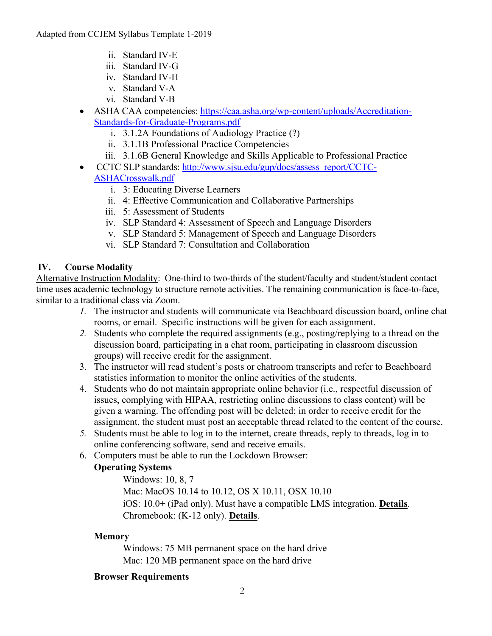- ii. Standard IV-E
- iii. Standard IV-G
- iv. Standard IV-H
- v. Standard V-A
- vi. Standard V-B
- ASHA CAA competencies: [https://caa.asha.org/wp-content/uploads/Accreditation-](https://caa.asha.org/wp-content/uploads/Accreditation-Standards-for-Graduate-Programs.pdf)[Standards-for-Graduate-Programs.pdf](https://caa.asha.org/wp-content/uploads/Accreditation-Standards-for-Graduate-Programs.pdf)
	- i. 3.1.2A Foundations of Audiology Practice (?)
	- ii. 3.1.1B Professional Practice Competencies
	- iii. 3.1.6B General Knowledge and Skills Applicable to Professional Practice
- CCTC SLP standards[: http://www.sjsu.edu/gup/docs/assess\\_report/CCTC-](http://www.sjsu.edu/gup/docs/assess_report/CCTC-ASHACrosswalk.pdf)[ASHACrosswalk.pdf](http://www.sjsu.edu/gup/docs/assess_report/CCTC-ASHACrosswalk.pdf)
	- i. 3: Educating Diverse Learners
	- ii. 4: Effective Communication and Collaborative Partnerships
	- iii. 5: Assessment of Students
	- iv. SLP Standard 4: Assessment of Speech and Language Disorders
	- v. SLP Standard 5: Management of Speech and Language Disorders
	- vi. SLP Standard 7: Consultation and Collaboration

## **IV. Course Modality**

Alternative Instruction Modality: One-third to two-thirds of the student/faculty and student/student contact time uses academic technology to structure remote activities. The remaining communication is face-to-face, similar to a traditional class via Zoom.

- *1.* The instructor and students will communicate via Beachboard discussion board, online chat rooms, or email. Specific instructions will be given for each assignment.
- *2.* Students who complete the required assignments (e.g., posting/replying to a thread on the discussion board, participating in a chat room, participating in classroom discussion groups) will receive credit for the assignment.
- 3. The instructor will read student's posts or chatroom transcripts and refer to Beachboard statistics information to monitor the online activities of the students.
- 4. Students who do not maintain appropriate online behavior (i.e., respectful discussion of issues, complying with HIPAA, restricting online discussions to class content) will be given a warning. The offending post will be deleted; in order to receive credit for the assignment, the student must post an acceptable thread related to the content of the course.
- *5.* Students must be able to log in to the internet, create threads, reply to threads, log in to online conferencing software, send and receive emails.
- 6. Computers must be able to run the Lockdown Browser:

# **Operating Systems**

Windows: 10, 8, 7 Mac: MacOS 10.14 to 10.12, OS X 10.11, OSX 10.10 iOS: 10.0+ (iPad only). Must have a compatible LMS integration. **[Details](http://support.respondus.com/support/index.php?/default_import/Knowledgebase/Article/View/186/0/can-an-ipad-be-used-with-lockdown-browser)**. Chromebook: (K-12 only). **[Details](http://support.respondus.com/support/index.php?/Knowledgebase/Article/View/288/0/are-chromebooks-compatible-with-lockdown-browser)**.

## **Memory**

Windows: 75 MB permanent space on the hard drive Mac: 120 MB permanent space on the hard drive

## **Browser Requirements**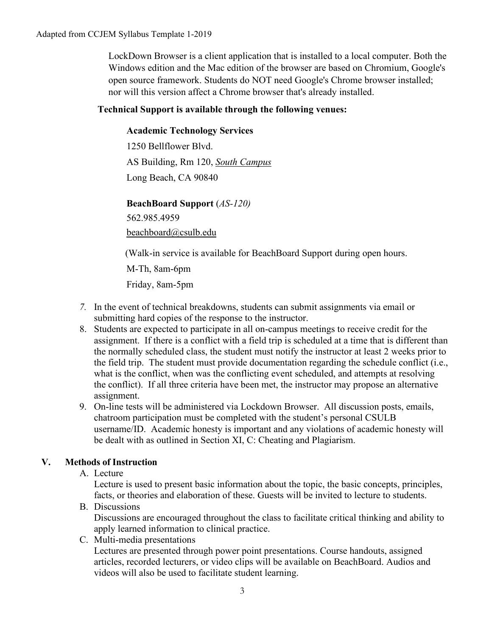LockDown Browser is a client application that is installed to a local computer. Both the Windows edition and the Mac edition of the browser are based on Chromium, Google's open source framework. Students do NOT need Google's Chrome browser installed; nor will this version affect a Chrome browser that's already installed.

## **Technical Support is available through the following venues:**

## **Academic Technology Services**

1250 Bellflower Blvd. AS Building, Rm 120, *[South Campus](https://daf.csulb.edu/maps/parking/index.html)* Long Beach, CA 90840

## **BeachBoard Support** (*AS-120)*

562.985.4959

[beachboard@csulb.edu](mailto:beachboard@csulb.edu)

(Walk-in service is available for BeachBoard Support during open hours.

M-Th, 8am-6pm

Friday, 8am-5pm

- *7.* In the event of technical breakdowns, students can submit assignments via email or submitting hard copies of the response to the instructor.
- 8. Students are expected to participate in all on-campus meetings to receive credit for the assignment. If there is a conflict with a field trip is scheduled at a time that is different than the normally scheduled class, the student must notify the instructor at least 2 weeks prior to the field trip. The student must provide documentation regarding the schedule conflict (i.e., what is the conflict, when was the conflicting event scheduled, and attempts at resolving the conflict). If all three criteria have been met, the instructor may propose an alternative assignment.
- 9. On-line tests will be administered via Lockdown Browser. All discussion posts, emails, chatroom participation must be completed with the student's personal CSULB username/ID. Academic honesty is important and any violations of academic honesty will be dealt with as outlined in Section XI, C: Cheating and Plagiarism.

## **V. Methods of Instruction**

A. Lecture

Lecture is used to present basic information about the topic, the basic concepts, principles, facts, or theories and elaboration of these. Guests will be invited to lecture to students.

B. Discussions

Discussions are encouraged throughout the class to facilitate critical thinking and ability to apply learned information to clinical practice.

C. Multi-media presentations

Lectures are presented through power point presentations. Course handouts, assigned articles, recorded lecturers, or video clips will be available on BeachBoard. Audios and videos will also be used to facilitate student learning.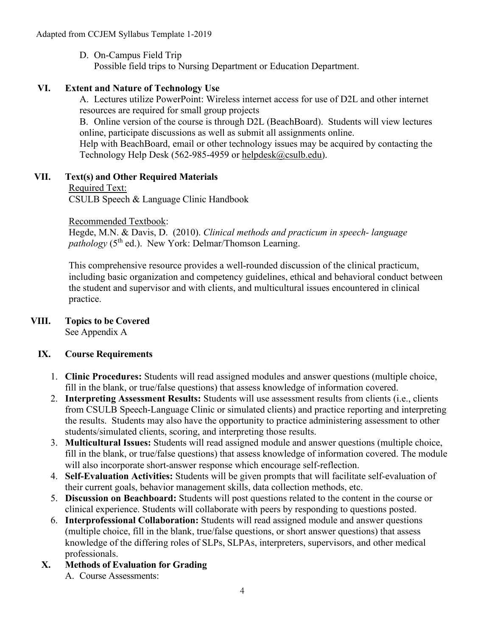D. On-Campus Field Trip Possible field trips to Nursing Department or Education Department.

## **VI. Extent and Nature of Technology Use**

A. Lectures utilize PowerPoint: Wireless internet access for use of D2L and other internet resources are required for small group projects

B. Online version of the course is through D2L (BeachBoard). Students will view lectures online, participate discussions as well as submit all assignments online.

Help with BeachBoard, email or other technology issues may be acquired by contacting the Technology Help Desk (562-985-4959 or [helpdesk@csulb.edu\)](mailto:helpdesk@csulb.edu).

## **VII. Text(s) and Other Required Materials**

Required Text:

CSULB Speech & Language Clinic Handbook

#### Recommended Textbook:

Hegde, M.N. & Davis, D. (2010). *Clinical methods and practicum in speech- language pathology* (5<sup>th</sup> ed.). New York: Delmar/Thomson Learning.

This comprehensive resource provides a well-rounded discussion of the clinical practicum, including basic organization and competency guidelines, ethical and behavioral conduct between the student and supervisor and with clients, and multicultural issues encountered in clinical practice.

#### **VIII. Topics to be Covered** See Appendix A

## **IX. Course Requirements**

- 1. **Clinic Procedures:** Students will read assigned modules and answer questions (multiple choice, fill in the blank, or true/false questions) that assess knowledge of information covered.
- 2. **Interpreting Assessment Results:** Students will use assessment results from clients (i.e., clients from CSULB Speech-Language Clinic or simulated clients) and practice reporting and interpreting the results. Students may also have the opportunity to practice administering assessment to other students/simulated clients, scoring, and interpreting those results.
- 3. **Multicultural Issues:** Students will read assigned module and answer questions (multiple choice, fill in the blank, or true/false questions) that assess knowledge of information covered. The module will also incorporate short-answer response which encourage self-reflection.
- 4. **Self-Evaluation Activities:** Students will be given prompts that will facilitate self-evaluation of their current goals, behavior management skills, data collection methods, etc.
- 5. **Discussion on Beachboard:** Students will post questions related to the content in the course or clinical experience. Students will collaborate with peers by responding to questions posted.
- 6. **Interprofessional Collaboration:** Students will read assigned module and answer questions (multiple choice, fill in the blank, true/false questions, or short answer questions) that assess knowledge of the differing roles of SLPs, SLPAs, interpreters, supervisors, and other medical professionals.
- **X. Methods of Evaluation for Grading** A. Course Assessments: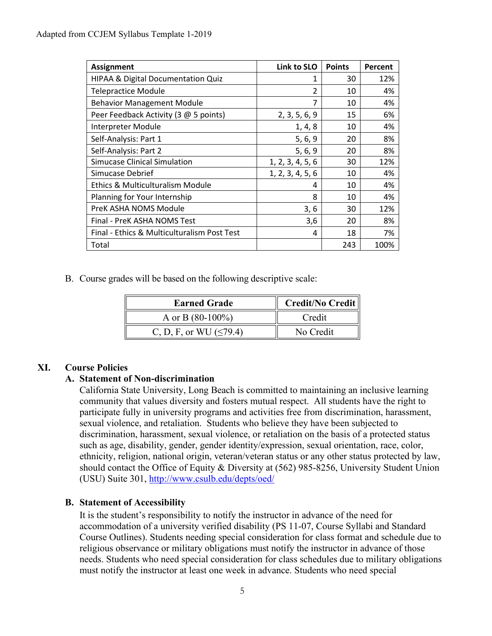| <b>Assignment</b>                           | Link to SLO      | <b>Points</b> | Percent |
|---------------------------------------------|------------------|---------------|---------|
| HIPAA & Digital Documentation Quiz          | 1                | 30            | 12%     |
| <b>Telepractice Module</b>                  | $\overline{2}$   | 10            | 4%      |
| <b>Behavior Management Module</b>           | 7                | 10            | 4%      |
| Peer Feedback Activity (3 @ 5 points)       | 2, 3, 5, 6, 9    | 15            | 6%      |
| Interpreter Module                          | 1, 4, 8          | 10            | 4%      |
| Self-Analysis: Part 1                       | 5, 6, 9          | 20            | 8%      |
| Self-Analysis: Part 2                       | 5, 6, 9          | 20            | 8%      |
| Simucase Clinical Simulation                | 1, 2, 3, 4, 5, 6 | 30            | 12%     |
| Simucase Debrief                            | 1, 2, 3, 4, 5, 6 | 10            | 4%      |
| <b>Ethics &amp; Multiculturalism Module</b> | 4                | 10            | 4%      |
| Planning for Your Internship                | 8                | 10            | 4%      |
| PreK ASHA NOMS Module                       | 3, 6             | 30            | 12%     |
| Final - PreK ASHA NOMS Test                 | 3,6              | 20            | 8%      |
| Final - Ethics & Multiculturalism Post Test | 4                | 18            | 7%      |
| Total                                       |                  | 243           | 100%    |

B. Course grades will be based on the following descriptive scale:

| <b>Earned Grade</b>           | Credit/No Credit |  |
|-------------------------------|------------------|--|
| A or B $(80-100\%)$           | Credit           |  |
| C, D, F, or WU ( $\leq$ 79.4) | No Credit        |  |

## **XI. Course Policies**

## **A. Statement of Non-discrimination**

California State University, Long Beach is committed to maintaining an inclusive learning community that values diversity and fosters mutual respect. All students have the right to participate fully in university programs and activities free from discrimination, harassment, sexual violence, and retaliation. Students who believe they have been subjected to discrimination, harassment, sexual violence, or retaliation on the basis of a protected status such as age, disability, gender, gender identity/expression, sexual orientation, race, color, ethnicity, religion, national origin, veteran/veteran status or any other status protected by law, should contact the Office of Equity & Diversity at (562) 985-8256, University Student Union (USU) Suite 301,<http://www.csulb.edu/depts/oed/>

## **B. Statement of Accessibility**

It is the student's responsibility to notify the instructor in advance of the need for accommodation of a university verified disability (PS 11-07, Course Syllabi and Standard Course Outlines). Students needing special consideration for class format and schedule due to religious observance or military obligations must notify the instructor in advance of those needs. Students who need special consideration for class schedules due to military obligations must notify the instructor at least one week in advance. Students who need special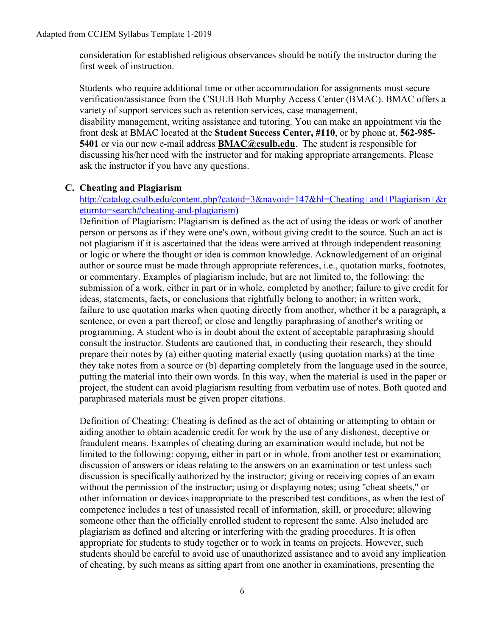consideration for established religious observances should be notify the instructor during the first week of instruction.

Students who require additional time or other accommodation for assignments must secure verification/assistance from the CSULB Bob Murphy Access Center (BMAC). BMAC offers a variety of support services such as retention services, case management, disability management, writing assistance and tutoring. You can make an appointment via the front desk at BMAC located at the **Student Success Center, #110**, or by phone at, **562-985- 5401** or via our new e-mail address **[BMAC@csulb.edu](mailto:BMAC@csulb.edu)**. The student is responsible for discussing his/her need with the instructor and for making appropriate arrangements. Please ask the instructor if you have any questions.

#### **C. Cheating and Plagiarism**

#### [http://catalog.csulb.edu/content.php?catoid=3&navoid=147&hl=Cheating+and+Plagiarism+&r](http://catalog.csulb.edu/content.php?catoid=3&navoid=147&hl=Cheating+and+Plagiarism+&returnto=search#cheating-and-plagiarism) [eturnto=search#cheating-and-plagiarism\)](http://catalog.csulb.edu/content.php?catoid=3&navoid=147&hl=Cheating+and+Plagiarism+&returnto=search#cheating-and-plagiarism)

Definition of Plagiarism: Plagiarism is defined as the act of using the ideas or work of another person or persons as if they were one's own, without giving credit to the source. Such an act is not plagiarism if it is ascertained that the ideas were arrived at through independent reasoning or logic or where the thought or idea is common knowledge. Acknowledgement of an original author or source must be made through appropriate references, i.e., quotation marks, footnotes, or commentary. Examples of plagiarism include, but are not limited to, the following: the submission of a work, either in part or in whole, completed by another; failure to give credit for ideas, statements, facts, or conclusions that rightfully belong to another; in written work, failure to use quotation marks when quoting directly from another, whether it be a paragraph, a sentence, or even a part thereof; or close and lengthy paraphrasing of another's writing or programming. A student who is in doubt about the extent of acceptable paraphrasing should consult the instructor. Students are cautioned that, in conducting their research, they should prepare their notes by (a) either quoting material exactly (using quotation marks) at the time they take notes from a source or (b) departing completely from the language used in the source, putting the material into their own words. In this way, when the material is used in the paper or project, the student can avoid plagiarism resulting from verbatim use of notes. Both quoted and paraphrased materials must be given proper citations.

Definition of Cheating: Cheating is defined as the act of obtaining or attempting to obtain or aiding another to obtain academic credit for work by the use of any dishonest, deceptive or fraudulent means. Examples of cheating during an examination would include, but not be limited to the following: copying, either in part or in whole, from another test or examination; discussion of answers or ideas relating to the answers on an examination or test unless such discussion is specifically authorized by the instructor; giving or receiving copies of an exam without the permission of the instructor; using or displaying notes; using "cheat sheets," or other information or devices inappropriate to the prescribed test conditions, as when the test of competence includes a test of unassisted recall of information, skill, or procedure; allowing someone other than the officially enrolled student to represent the same. Also included are plagiarism as defined and altering or interfering with the grading procedures. It is often appropriate for students to study together or to work in teams on projects. However, such students should be careful to avoid use of unauthorized assistance and to avoid any implication of cheating, by such means as sitting apart from one another in examinations, presenting the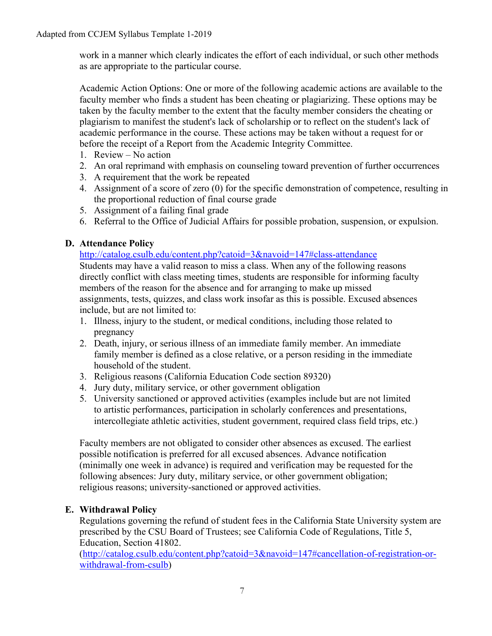work in a manner which clearly indicates the effort of each individual, or such other methods as are appropriate to the particular course.

Academic Action Options: One or more of the following academic actions are available to the faculty member who finds a student has been cheating or plagiarizing. These options may be taken by the faculty member to the extent that the faculty member considers the cheating or plagiarism to manifest the student's lack of scholarship or to reflect on the student's lack of academic performance in the course. These actions may be taken without a request for or before the receipt of a Report from the Academic Integrity Committee.

- 1. Review No action
- 2. An oral reprimand with emphasis on counseling toward prevention of further occurrences
- 3. A requirement that the work be repeated
- 4. Assignment of a score of zero (0) for the specific demonstration of competence, resulting in the proportional reduction of final course grade
- 5. Assignment of a failing final grade
- 6. Referral to the Office of Judicial Affairs for possible probation, suspension, or expulsion.

## **D. Attendance Policy**

<http://catalog.csulb.edu/content.php?catoid=3&navoid=147#class-attendance>

Students may have a valid reason to miss a class. When any of the following reasons directly conflict with class meeting times, students are responsible for informing faculty members of the reason for the absence and for arranging to make up missed assignments, tests, quizzes, and class work insofar as this is possible. Excused absences include, but are not limited to:

- 1. Illness, injury to the student, or medical conditions, including those related to pregnancy
- 2. Death, injury, or serious illness of an immediate family member. An immediate family member is defined as a close relative, or a person residing in the immediate household of the student.
- 3. Religious reasons (California Education Code section 89320)
- 4. Jury duty, military service, or other government obligation
- 5. University sanctioned or approved activities (examples include but are not limited to artistic performances, participation in scholarly conferences and presentations, intercollegiate athletic activities, student government, required class field trips, etc.)

Faculty members are not obligated to consider other absences as excused. The earliest possible notification is preferred for all excused absences. Advance notification (minimally one week in advance) is required and verification may be requested for the following absences: Jury duty, military service, or other government obligation; religious reasons; university-sanctioned or approved activities.

## **E. Withdrawal Policy**

Regulations governing the refund of student fees in the California State University system are prescribed by the CSU Board of Trustees; see California Code of Regulations, Title 5, Education, Section 41802.

[\(http://catalog.csulb.edu/content.php?catoid=3&navoid=147#cancellation-of-registration-or](http://catalog.csulb.edu/content.php?catoid=3&navoid=147#cancellation-of-registration-or-withdrawal-from-csulb)[withdrawal-from-csulb\)](http://catalog.csulb.edu/content.php?catoid=3&navoid=147#cancellation-of-registration-or-withdrawal-from-csulb)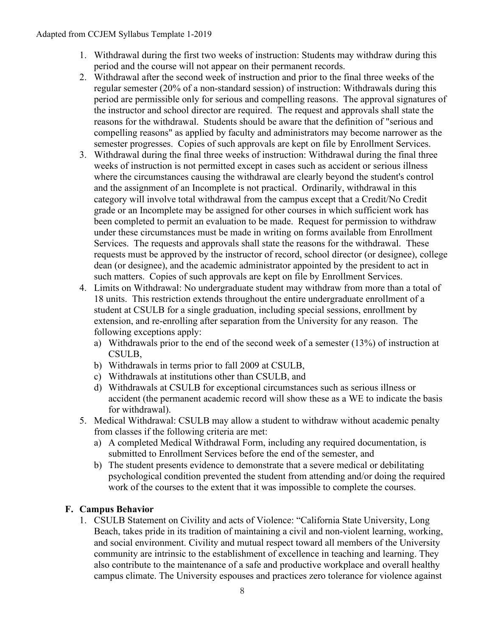- 1. Withdrawal during the first two weeks of instruction: Students may withdraw during this period and the course will not appear on their permanent records.
- 2. Withdrawal after the second week of instruction and prior to the final three weeks of the regular semester (20% of a non-standard session) of instruction: Withdrawals during this period are permissible only for serious and compelling reasons. The approval signatures of the instructor and school director are required. The request and approvals shall state the reasons for the withdrawal. Students should be aware that the definition of "serious and compelling reasons" as applied by faculty and administrators may become narrower as the semester progresses. Copies of such approvals are kept on file by Enrollment Services.
- 3. Withdrawal during the final three weeks of instruction: Withdrawal during the final three weeks of instruction is not permitted except in cases such as accident or serious illness where the circumstances causing the withdrawal are clearly beyond the student's control and the assignment of an Incomplete is not practical. Ordinarily, withdrawal in this category will involve total withdrawal from the campus except that a Credit/No Credit grade or an Incomplete may be assigned for other courses in which sufficient work has been completed to permit an evaluation to be made. Request for permission to withdraw under these circumstances must be made in writing on forms available from Enrollment Services. The requests and approvals shall state the reasons for the withdrawal. These requests must be approved by the instructor of record, school director (or designee), college dean (or designee), and the academic administrator appointed by the president to act in such matters. Copies of such approvals are kept on file by Enrollment Services.
- 4. Limits on Withdrawal: No undergraduate student may withdraw from more than a total of 18 units. This restriction extends throughout the entire undergraduate enrollment of a student at CSULB for a single graduation, including special sessions, enrollment by extension, and re-enrolling after separation from the University for any reason. The following exceptions apply:
	- a) Withdrawals prior to the end of the second week of a semester (13%) of instruction at CSULB,
	- b) Withdrawals in terms prior to fall 2009 at CSULB,
	- c) Withdrawals at institutions other than CSULB, and
	- d) Withdrawals at CSULB for exceptional circumstances such as serious illness or accident (the permanent academic record will show these as a WE to indicate the basis for withdrawal).
- 5. Medical Withdrawal: CSULB may allow a student to withdraw without academic penalty from classes if the following criteria are met:
	- a) A completed Medical Withdrawal Form, including any required documentation, is submitted to Enrollment Services before the end of the semester, and
	- b) The student presents evidence to demonstrate that a severe medical or debilitating psychological condition prevented the student from attending and/or doing the required work of the courses to the extent that it was impossible to complete the courses.

## **F. Campus Behavior**

1. CSULB Statement on Civility and acts of Violence: "California State University, Long Beach, takes pride in its tradition of maintaining a civil and non-violent learning, working, and social environment. Civility and mutual respect toward all members of the University community are intrinsic to the establishment of excellence in teaching and learning. They also contribute to the maintenance of a safe and productive workplace and overall healthy campus climate. The University espouses and practices zero tolerance for violence against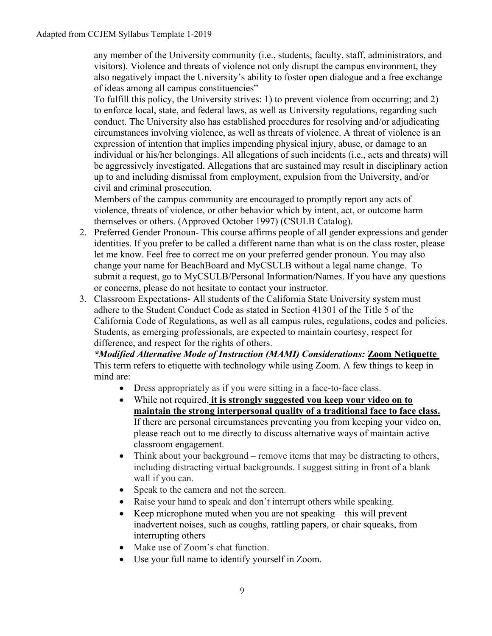any member of the University community (i.e., students, faculty, staff, administrators, and visitors). Violence and threats of violence not only disrupt the campus environment, they also negatively impact the University's ability to foster open dialogue and a free exchange of ideas among all campus constituencies"

To fulfill this policy, the University strives: 1) to prevent violence from occurring; and 2) to enforce local, state, and federal laws, as well as University regulations, regarding such conduct. The University also has established procedures for resolving and/or adjudicating circumstances involving violence, as well as threats of violence. A threat of violence is an expression of intention that implies impending physical injury, abuse, or damage to an individual or his/her belongings. All allegations of such incidents (i.e., acts and threats) will be aggressively investigated. Allegations that are sustained may result in disciplinary action up to and including dismissal from employment, expulsion from the University, and/or civil and criminal prosecution.

Members of the campus community are encouraged to promptly report any acts of violence, threats of violence, or other behavior which by intent, act, or outcome harm themselves or others. (Approved October 1997) (CSULB Catalog).

- 2. Preferred Gender Pronoun- This course affirms people of all gender expressions and gender identities. If you prefer to be called a different name than what is on the class roster, please let me know. Feel free to correct me on your preferred gender pronoun. You may also change your name for BeachBoard and MyCSULB without a legal name change. To submit a request, go to MyCSULB/Personal Information/Names. If you have any questions or concerns, please do not hesitate to contact your instructor.
- 3. Classroom Expectations- All students of the California State University system must adhere to the Student Conduct Code as stated in Section 41301 of the Title 5 of the California Code of Regulations, as well as all campus rules, regulations, codes and policies. Students, as emerging professionals, are expected to maintain courtesy, respect for difference, and respect for the rights of others.

*\*Modified Alternative Mode of Instruction (MAMI) Considerations:* **Zoom Netiquette** This term refers to etiquette with technology while using Zoom. A few things to keep in mind are:

- Dress appropriately as if you were sitting in a face-to-face class.
- While not required, **it is strongly suggested you keep your video on to maintain the strong interpersonal quality of a traditional face to face class.** If there are personal circumstances preventing you from keeping your video on, please reach out to me directly to discuss alternative ways of maintain active classroom engagement.
- Think about your background remove items that may be distracting to others, including distracting virtual backgrounds. I suggest sitting in front of a blank wall if you can.
- Speak to the camera and not the screen.
- Raise your hand to speak and don't interrupt others while speaking.
- Keep microphone muted when you are not speaking—this will prevent inadvertent noises, such as coughs, rattling papers, or chair squeaks, from interrupting others
- Make use of Zoom's chat function.
- Use your full name to identify yourself in Zoom.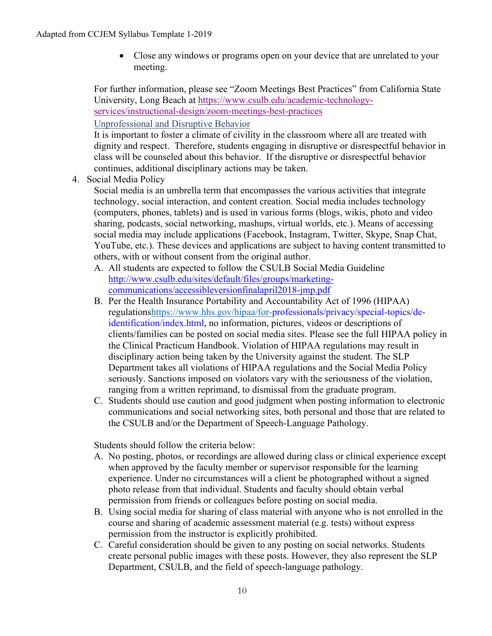• Close any windows or programs open on your device that are unrelated to your meeting.

For further information, please see "Zoom Meetings Best Practices" from California State University, Long Beach at [https://www.csulb.edu/academic-technology](https://www.csulb.edu/academic-technology-services/instructional-design/zoom-meetings-best-practices)[services/instructional-design/zoom-meetings-best-practices](https://www.csulb.edu/academic-technology-services/instructional-design/zoom-meetings-best-practices)

Unprofessional and Disruptive Behavior

It is important to foster a climate of civility in the classroom where all are treated with dignity and respect. Therefore, students engaging in disruptive or disrespectful behavior in class will be counseled about this behavior. If the disruptive or disrespectful behavior continues, additional disciplinary actions may be taken.

4. Social Media Policy

Social media is an umbrella term that encompasses the various activities that integrate technology, social interaction, and content creation. Social media includes technology (computers, phones, tablets) and is used in various forms (blogs, wikis, photo and video sharing, podcasts, social networking, mashups, virtual worlds, etc.). Means of accessing social media may include applications (Facebook, Instagram, Twitter, Skype, Snap Chat, YouTube, etc.). These devices and applications are subject to having content transmitted to others, with or without consent from the original author.

- A. All students are expected to follow the CSULB Social Media Guideline [http://www.csulb.edu/sites/default/files/groups/marketing](http://www.csulb.edu/sites/default/files/groups/marketing-communications/accessibleversionfinalapril2018-jmp.pdf)[communications/accessibleversionfinalapril2018-jmp.pdf](http://www.csulb.edu/sites/default/files/groups/marketing-communications/accessibleversionfinalapril2018-jmp.pdf)
- B. Per the Health Insurance Portability and Accountability Act of 1996 (HIPAA) regulation[shttps://www.hhs.gov/hipaa/for-p](https://www.hhs.gov/hipaa/for-)rofessionals/privacy/special-topics/deidentification/index.html, no information, pictures, videos or descriptions of clients/families can be posted on social media sites. Please see the full HIPAA policy in the Clinical Practicum Handbook. Violation of HIPAA regulations may result in disciplinary action being taken by the University against the student. The SLP Department takes all violations of HIPAA regulations and the Social Media Policy seriously. Sanctions imposed on violators vary with the seriousness of the violation, ranging from a written reprimand, to dismissal from the graduate program.
- C. Students should use caution and good judgment when posting information to electronic communications and social networking sites, both personal and those that are related to the CSULB and/or the Department of Speech-Language Pathology.

Students should follow the criteria below:

- A. No posting, photos, or recordings are allowed during class or clinical experience except when approved by the faculty member or supervisor responsible for the learning experience. Under no circumstances will a client be photographed without a signed photo release from that individual. Students and faculty should obtain verbal permission from friends or colleagues before posting on social media.
- B. Using social media for sharing of class material with anyone who is not enrolled in the course and sharing of academic assessment material (e.g. tests) without express permission from the instructor is explicitly prohibited.
- C. Careful consideration should be given to any posting on social networks. Students create personal public images with these posts. However, they also represent the SLP Department, CSULB, and the field of speech-language pathology.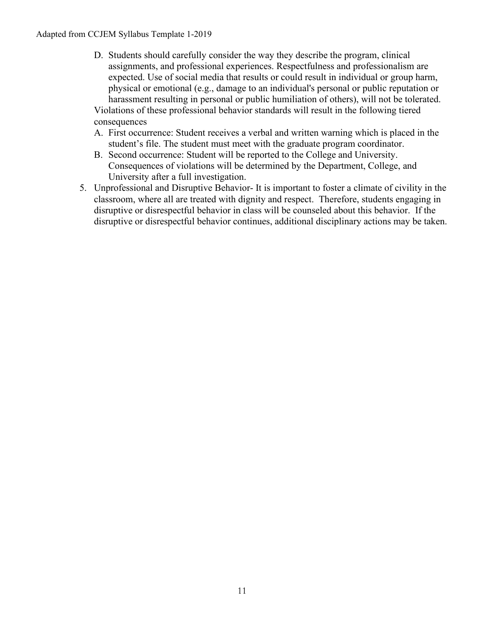- D. Students should carefully consider the way they describe the program, clinical assignments, and professional experiences. Respectfulness and professionalism are expected. Use of social media that results or could result in individual or group harm, physical or emotional (e.g., damage to an individual's personal or public reputation or harassment resulting in personal or public humiliation of others), will not be tolerated. Violations of these professional behavior standards will result in the following tiered consequences
- A. First occurrence: Student receives a verbal and written warning which is placed in the student's file. The student must meet with the graduate program coordinator.
- B. Second occurrence: Student will be reported to the College and University. Consequences of violations will be determined by the Department, College, and University after a full investigation.
- 5. Unprofessional and Disruptive Behavior- It is important to foster a climate of civility in the classroom, where all are treated with dignity and respect. Therefore, students engaging in disruptive or disrespectful behavior in class will be counseled about this behavior. If the disruptive or disrespectful behavior continues, additional disciplinary actions may be taken.